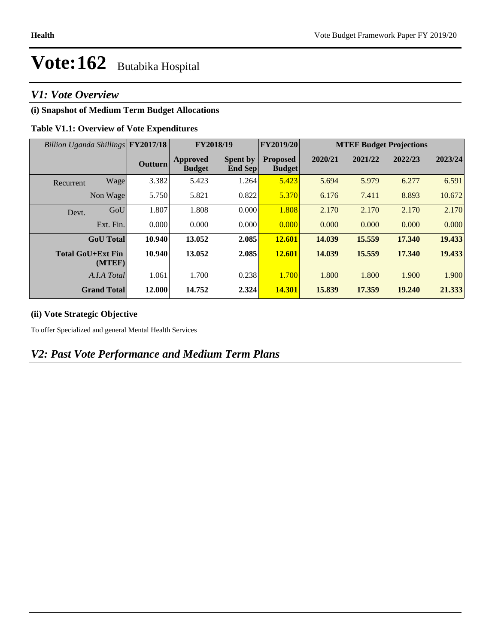### *V1: Vote Overview*

#### **(i) Snapshot of Medium Term Budget Allocations**

#### **Table V1.1: Overview of Vote Expenditures**

| Billion Uganda Shillings FY2017/18 |      |         |                           | FY2018/19                         | <b>FY2019/20</b>                 | <b>MTEF Budget Projections</b> |         |         |         |
|------------------------------------|------|---------|---------------------------|-----------------------------------|----------------------------------|--------------------------------|---------|---------|---------|
|                                    |      | Outturn | Approved<br><b>Budget</b> | <b>Spent by</b><br><b>End Sep</b> | <b>Proposed</b><br><b>Budget</b> | 2020/21                        | 2021/22 | 2022/23 | 2023/24 |
| Recurrent                          | Wage | 3.382   | 5.423                     | 1.264                             | 5.423                            | 5.694                          | 5.979   | 6.277   | 6.591   |
| Non Wage                           |      | 5.750   | 5.821                     | 0.822                             | 5.370                            | 6.176                          | 7.411   | 8.893   | 10.672  |
| Devt.                              | GoU  | 1.807   | 1.808                     | 0.000                             | 1.808                            | 2.170                          | 2.170   | 2.170   | 2.170   |
| Ext. Fin.                          |      | 0.000   | 0.000                     | 0.000                             | 0.000                            | 0.000                          | 0.000   | 0.000   | 0.000   |
| <b>GoU</b> Total                   |      | 10.940  | 13.052                    | 2.085                             | 12.601                           | 14.039                         | 15.559  | 17.340  | 19.433  |
| Total GoU+Ext Fin<br>(MTEF)        |      | 10.940  | 13.052                    | 2.085                             | 12.601                           | 14.039                         | 15.559  | 17.340  | 19.433  |
| A.I.A Total                        |      | 1.061   | 1.700                     | 0.238                             | 1.700                            | 1.800                          | 1.800   | 1.900   | 1.900   |
| <b>Grand Total</b>                 |      | 12.000  | 14.752                    | 2.324                             | 14.301                           | 15.839                         | 17.359  | 19.240  | 21.333  |

#### **(ii) Vote Strategic Objective**

To offer Specialized and general Mental Health Services

### *V2: Past Vote Performance and Medium Term Plans*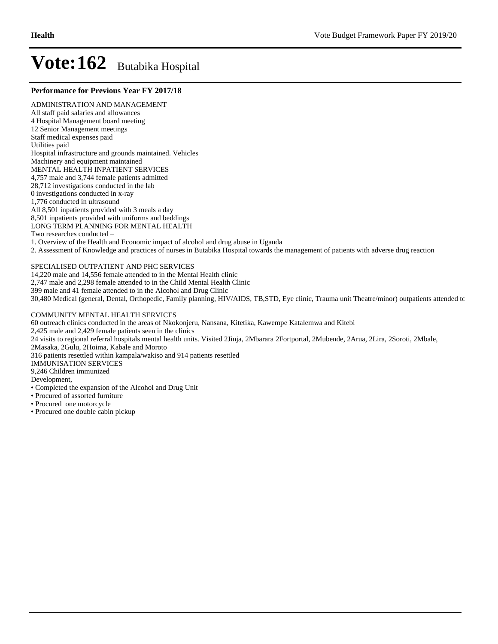#### **Performance for Previous Year FY 2017/18**

ADMINISTRATION AND MANAGEMENT All staff paid salaries and allowances 4 Hospital Management board meeting 12 Senior Management meetings Staff medical expenses paid Utilities paid Hospital infrastructure and grounds maintained. Vehicles Machinery and equipment maintained MENTAL HEALTH INPATIENT SERVICES 4,757 male and 3,744 female patients admitted 28,712 investigations conducted in the lab 0 investigations conducted in x-ray 1,776 conducted in ultrasound All 8,501 inpatients provided with 3 meals a day 8,501 inpatients provided with uniforms and beddings LONG TERM PLANNING FOR MENTAL HEALTH Two researches conducted -1. Overview of the Health and Economic impact of alcohol and drug abuse in Uganda 2. Assessment of Knowledge and practices of nurses in Butabika Hospital towards the management of patients with adverse drug reaction SPECIALISED OUTPATIENT AND PHC SERVICES 14,220 male and 14,556 female attended to in the Mental Health clinic 2,747 male and 2,298 female attended to in the Child Mental Health Clinic 399 male and 41 female attended to in the Alcohol and Drug Clinic 30,480 Medical (general, Dental, Orthopedic, Family planning, HIV/AIDS, TB,STD, Eye clinic, Trauma unit Theatre/minor) outpatients attended to

#### COMMUNITY MENTAL HEALTH SERVICES

60 outreach clinics conducted in the areas of Nkokonjeru, Nansana, Kitetika, Kawempe Katalemwa and Kitebi 2,425 male and 2,429 female patients seen in the clinics 24 visits to regional referral hospitals mental health units. Visited 2Jinja, 2Mbarara 2Fortportal, 2Mubende, 2Arua, 2Lira, 2Soroti, 2Mbale, 2Masaka, 2Gulu, 2Hoima, Kabale and Moroto 316 patients resettled within kampala/wakiso and 914 patients resettled IMMUNISATION SERVICES 9,246 Children immunized Development, Completed the expansion of the Alcohol and Drug Unit Procured of assorted furniture Procured one motorcycle

Procured one double cabin pickup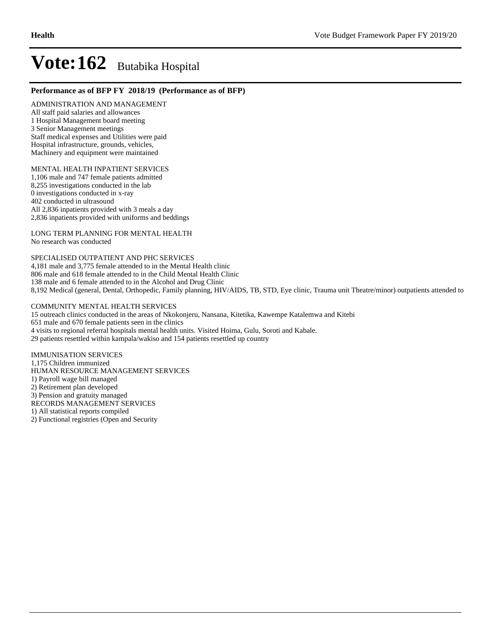#### **Performance as of BFP FY 2018/19 (Performance as of BFP)**

ADMINISTRATION AND MANAGEMENT All staff paid salaries and allowances 1 Hospital Management board meeting 3 Senior Management meetings Staff medical expenses and Utilities were paid Hospital infrastructure, grounds, vehicles, Machinery and equipment were maintained

MENTAL HEALTH INPATIENT SERVICES

1,106 male and 747 female patients admitted 8,255 investigations conducted in the lab 0 investigations conducted in x-ray 402 conducted in ultrasound All 2,836 inpatients provided with 3 meals a day 2,836 inpatients provided with uniforms and beddings

LONG TERM PLANNING FOR MENTAL HEALTH No research was conducted

SPECIALISED OUTPATIENT AND PHC SERVICES 4,181 male and 3,775 female attended to in the Mental Health clinic 806 male and 618 female attended to in the Child Mental Health Clinic 138 male and 6 female attended to in the Alcohol and Drug Clinic 8,192 Medical (general, Dental, Orthopedic, Family planning, HIV/AIDS, TB, STD, Eye clinic, Trauma unit Theatre/minor) outpatients attended to

#### COMMUNITY MENTAL HEALTH SERVICES

15 outreach clinics conducted in the areas of Nkokonjeru, Nansana, Kitetika, Kawempe Katalemwa and Kitebi 651 male and 670 female patients seen in the clinics 4 visits to regional referral hospitals mental health units. Visited Hoima, Gulu, Soroti and Kabale. 29 patients resettled within kampala/wakiso and 154 patients resettled up country

#### IMMUNISATION SERVICES

1,175 Children immunized HUMAN RESOURCE MANAGEMENT SERVICES 1) Payroll wage bill managed 2) Retirement plan developed 3) Pension and gratuity managed RECORDS MANAGEMENT SERVICES 1) All statistical reports compiled 2) Functional registries (Open and Security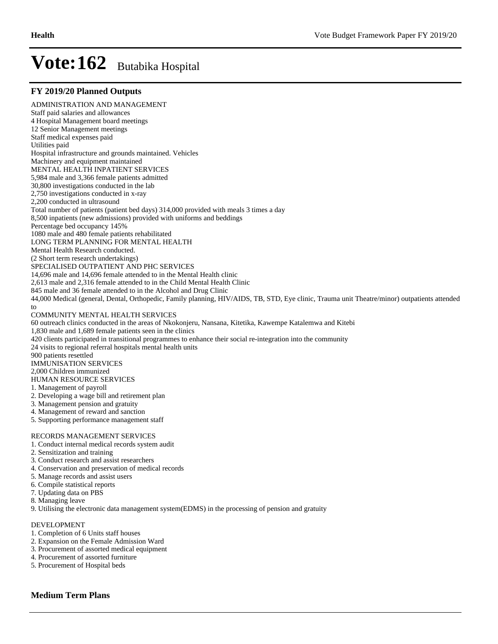#### **FY 2019/20 Planned Outputs**

ADMINISTRATION AND MANAGEMENT Staff paid salaries and allowances 4 Hospital Management board meetings 12 Senior Management meetings Staff medical expenses paid Utilities paid Hospital infrastructure and grounds maintained. Vehicles Machinery and equipment maintained MENTAL HEALTH INPATIENT SERVICES 5,984 male and 3,366 female patients admitted 30,800 investigations conducted in the lab 2,750 investigations conducted in x-ray 2,200 conducted in ultrasound Total number of patients (patient bed days) 314,000 provided with meals 3 times a day 8,500 inpatients (new admissions) provided with uniforms and beddings Percentage bed occupancy 145% 1080 male and 480 female patients rehabilitated LONG TERM PLANNING FOR MENTAL HEALTH Mental Health Research conducted. (2 Short term research undertakings) SPECIALISED OUTPATIENT AND PHC SERVICES 14,696 male and 14,696 female attended to in the Mental Health clinic 2,613 male and 2,316 female attended to in the Child Mental Health Clinic 845 male and 36 female attended to in the Alcohol and Drug Clinic 44,000 Medical (general, Dental, Orthopedic, Family planning, HIV/AIDS, TB, STD, Eye clinic, Trauma unit Theatre/minor) outpatients attended to COMMUNITY MENTAL HEALTH SERVICES 60 outreach clinics conducted in the areas of Nkokonjeru, Nansana, Kitetika, Kawempe Katalemwa and Kitebi 1,830 male and 1,689 female patients seen in the clinics 420 clients participated in transitional programmes to enhance their social re-integration into the community 24 visits to regional referral hospitals mental health units 900 patients resettled IMMUNISATION SERVICES 2,000 Children immunized HUMAN RESOURCE SERVICES 1. Management of payroll 2. Developing a wage bill and retirement plan 3. Management pension and gratuity 4. Management of reward and sanction 5. Supporting performance management staff RECORDS MANAGEMENT SERVICES 1. Conduct internal medical records system audit 2. Sensitization and training 3. Conduct research and assist researchers 4. Conservation and preservation of medical records 5. Manage records and assist users 6. Compile statistical reports 7. Updating data on PBS 8. Managing leave 9. Utilising the electronic data management system(EDMS) in the processing of pension and gratuity DEVELOPMENT

- 1. Completion of 6 Units staff houses
- 2. Expansion on the Female Admission Ward
- 3. Procurement of assorted medical equipment
- 4. Procurement of assorted furniture
- 5. Procurement of Hospital beds

#### **Medium Term Plans**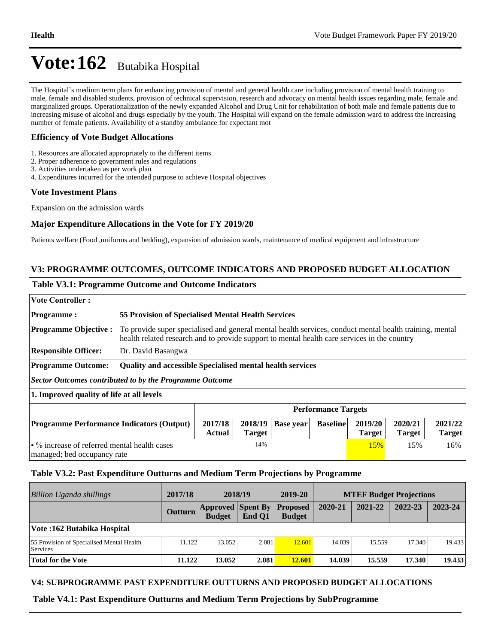The Hospital`s medium term plans for enhancing provision of mental and general health care including provision of mental health training to male, female and disabled students, provision of technical supervision, research and advocacy on mental health issues regarding male, female and marginalized groups. Operationalization of the newly expanded Alcohol and Drug Unit for rehabilitation of both male and female patients due to increasing misuse of alcohol and drugs especially by the youth. The Hospital will expand on the female admission ward to address the increasing number of female patients. Availability of a standby ambulance for expectant mot

#### **Efficiency of Vote Budget Allocations**

- 1. Resources are allocated appropriately to the different items
- 2. Proper adherence to government rules and regulations
- 3. Activities undertaken as per work plan
- 4. Expenditures incurred for the intended purpose to achieve Hospital objectives

#### **Vote Investment Plans**

Expansion on the admission wards

#### **Major Expenditure Allocations in the Vote for FY 2019/20**

Patients welfare (Food ,uniforms and bedding), expansion of admission wards, maintenance of medical equipment and infrastructure

#### **V3: PROGRAMME OUTCOMES, OUTCOME INDICATORS AND PROPOSED BUDGET ALLOCATION**

#### **Table V3.1: Programme Outcome and Outcome Indicators**

| <b>Vote Controller:</b>                                                                                                                                                                          |                                                                  |                                                                                                                                                                                                         |     |  |  |                          |     |     |
|--------------------------------------------------------------------------------------------------------------------------------------------------------------------------------------------------|------------------------------------------------------------------|---------------------------------------------------------------------------------------------------------------------------------------------------------------------------------------------------------|-----|--|--|--------------------------|-----|-----|
| <b>Programme:</b>                                                                                                                                                                                |                                                                  | <b>55 Provision of Specialised Mental Health Services</b>                                                                                                                                               |     |  |  |                          |     |     |
| <b>Programme Objective:</b>                                                                                                                                                                      |                                                                  | To provide super specialised and general mental health services, conduct mental health training, mental<br>health related research and to provide support to mental health care services in the country |     |  |  |                          |     |     |
| <b>Responsible Officer:</b>                                                                                                                                                                      | Dr. David Basangwa                                               |                                                                                                                                                                                                         |     |  |  |                          |     |     |
| <b>Programme Outcome:</b>                                                                                                                                                                        | <b>Quality and accessible Specialised mental health services</b> |                                                                                                                                                                                                         |     |  |  |                          |     |     |
| Sector Outcomes contributed to by the Programme Outcome                                                                                                                                          |                                                                  |                                                                                                                                                                                                         |     |  |  |                          |     |     |
| 1. Improved quality of life at all levels                                                                                                                                                        |                                                                  |                                                                                                                                                                                                         |     |  |  |                          |     |     |
|                                                                                                                                                                                                  | <b>Performance Targets</b>                                       |                                                                                                                                                                                                         |     |  |  |                          |     |     |
| 2017/18<br>2020/21<br>2018/19<br>2019/20<br><b>Base year</b><br><b>Baseline</b><br><b>Programme Performance Indicators (Output)</b><br>Actual<br><b>Target</b><br><b>Target</b><br><b>Target</b> |                                                                  |                                                                                                                                                                                                         |     |  |  | 2021/22<br><b>Target</b> |     |     |
| $\cdot$ % increase of referred mental health cases<br>managed; bed occupancy rate                                                                                                                |                                                                  |                                                                                                                                                                                                         | 14% |  |  | <b>15%</b>               | 15% | 16% |

#### **Table V3.2: Past Expenditure Outturns and Medium Term Projections by Programme**

| Billion Uganda shillings                              | 2017/18 | 2018/19                                   |        | 2019-20                          | <b>MTEF Budget Projections</b> |         |         |         |
|-------------------------------------------------------|---------|-------------------------------------------|--------|----------------------------------|--------------------------------|---------|---------|---------|
|                                                       | Outturn | <b>Approved Spent By</b><br><b>Budget</b> | End O1 | <b>Proposed</b><br><b>Budget</b> | 2020-21                        | 2021-22 | 2022-23 | 2023-24 |
| Vote: 162 Butabika Hospital                           |         |                                           |        |                                  |                                |         |         |         |
| 55 Provision of Specialised Mental Health<br>Services | 11.122  | 13.052                                    | 2.081  | 12.601                           | 14.039                         | 15.559  | 17.340  | 19.433  |
| <b>Total for the Vote</b>                             | 11.122  | 13.052                                    | 2.081  | 12.601                           | 14.039                         | 15.559  | 17.340  | 19.433  |

#### **V4: SUBPROGRAMME PAST EXPENDITURE OUTTURNS AND PROPOSED BUDGET ALLOCATIONS**

**Table V4.1: Past Expenditure Outturns and Medium Term Projections by SubProgramme**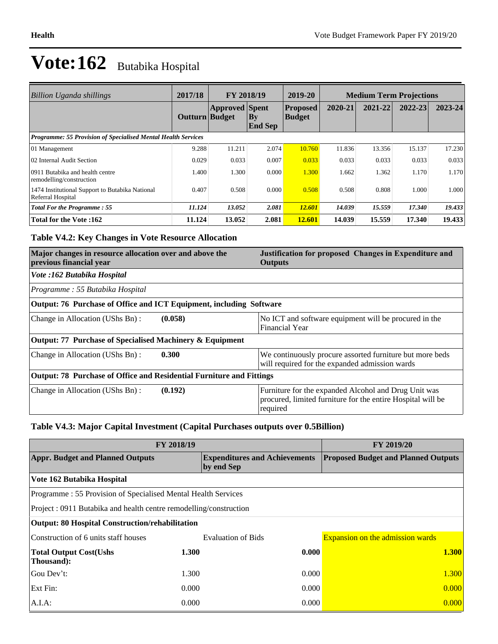| <b>Billion Uganda shillings</b>                                      | 2017/18        | FY 2018/19            |                                | 2019-20                          | <b>Medium Term Projections</b> |         |         |             |
|----------------------------------------------------------------------|----------------|-----------------------|--------------------------------|----------------------------------|--------------------------------|---------|---------|-------------|
|                                                                      | Outturn Budget | <b>Approved</b> Spent | $ {\bf B}$ y<br><b>End Sep</b> | <b>Proposed</b><br><b>Budget</b> | $2020 - 21$                    | 2021-22 | 2022-23 | $2023 - 24$ |
| <b>Programme: 55 Provision of Specialised Mental Health Services</b> |                |                       |                                |                                  |                                |         |         |             |
| 01 Management                                                        | 9.288          | 11.211                | 2.074                          | 10.760                           | 11.836                         | 13.356  | 15.137  | 17.230      |
| 02 Internal Audit Section                                            | 0.029          | 0.033                 | 0.007                          | 0.033                            | 0.033                          | 0.033   | 0.033   | 0.033       |
| 0911 Butabika and health centre<br>remodelling/construction          | 1.400          | 1.300                 | 0.000                          | 1.300                            | 1.662                          | 1.362   | 1.170   | 1.170       |
| 1474 Institutional Support to Butabika National<br>Referral Hospital | 0.407          | 0.508                 | 0.000                          | 0.508                            | 0.508                          | 0.808   | 1.000   | 1.000       |
| <b>Total For the Programme: 55</b>                                   | 11.124         | 13.052                | 2.081                          | 12.601                           | 14.039                         | 15.559  | 17.340  | 19.433      |
| <b>Total for the Vote:162</b>                                        | 11.124         | 13.052                | 2.081                          | 12.601                           | 14.039                         | 15.559  | 17.340  | 19.433      |

### **Table V4.2: Key Changes in Vote Resource Allocation**

| Major changes in resource allocation over and above the<br>previous financial year | Justification for proposed Changes in Expenditure and<br><b>Outputs</b>                                                         |  |  |  |  |  |
|------------------------------------------------------------------------------------|---------------------------------------------------------------------------------------------------------------------------------|--|--|--|--|--|
| Vote :162 Butabika Hospital                                                        |                                                                                                                                 |  |  |  |  |  |
| Programme: 55 Butabika Hospital                                                    |                                                                                                                                 |  |  |  |  |  |
| Output: 76 Purchase of Office and ICT Equipment, including Software                |                                                                                                                                 |  |  |  |  |  |
| Change in Allocation (UShs Bn):<br>(0.058)                                         | No ICT and software equipment will be procured in the<br><b>Financial Year</b>                                                  |  |  |  |  |  |
| Output: 77 Purchase of Specialised Machinery & Equipment                           |                                                                                                                                 |  |  |  |  |  |
| 0.300<br>Change in Allocation (UShs Bn):                                           | We continuously procure assorted furniture but more beds<br>will required for the expanded admission wards                      |  |  |  |  |  |
| Output: 78 Purchase of Office and Residential Furniture and Fittings               |                                                                                                                                 |  |  |  |  |  |
| Change in Allocation (UShs Bn):<br>(0.192)                                         | Furniture for the expanded Alcohol and Drug Unit was<br>procured, limited furniture for the entire Hospital will be<br>required |  |  |  |  |  |

### **Table V4.3: Major Capital Investment (Capital Purchases outputs over 0.5Billion)**

| FY 2018/19                                                        | FY 2019/20 |                                                    |                                            |  |  |  |
|-------------------------------------------------------------------|------------|----------------------------------------------------|--------------------------------------------|--|--|--|
| <b>Appr. Budget and Planned Outputs</b>                           |            | <b>Expenditures and Achievements</b><br>by end Sep | <b>Proposed Budget and Planned Outputs</b> |  |  |  |
| Vote 162 Butabika Hospital                                        |            |                                                    |                                            |  |  |  |
| Programme: 55 Provision of Specialised Mental Health Services     |            |                                                    |                                            |  |  |  |
| Project: 0911 Butabika and health centre remodelling/construction |            |                                                    |                                            |  |  |  |
| <b>Output: 80 Hospital Construction/rehabilitation</b>            |            |                                                    |                                            |  |  |  |
| Construction of 6 units staff houses                              |            | Evaluation of Bids                                 | <b>Expansion on the admission wards</b>    |  |  |  |
| <b>Total Output Cost(Ushs</b><br>Thousand):                       | 1.300      | 0.000                                              | <b>1.300</b>                               |  |  |  |
| Gou Dev't:                                                        | 1.300      | 0.000                                              | 1.300                                      |  |  |  |
| Ext Fin:                                                          | 0.000      | 0.000                                              | 0.000                                      |  |  |  |
| $A.I.A$ :                                                         | 0.000      | 0.000                                              | 0.000                                      |  |  |  |